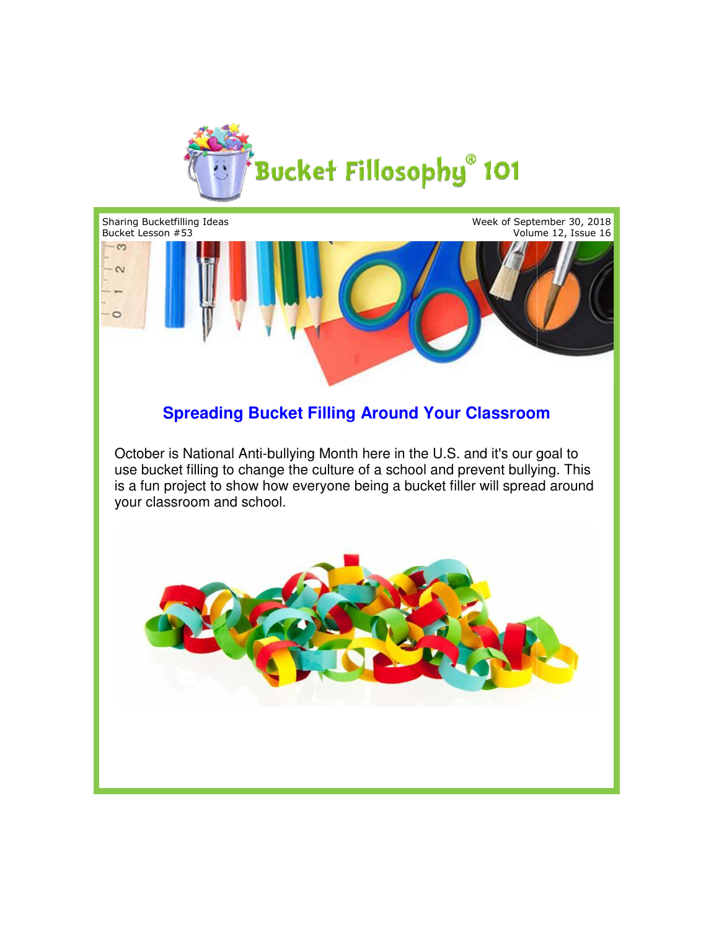



## **Spreading Bucket Filling Around Your Classroom Around Your Classroom**

October is National Anti-bullying Month here in the U.S. and it's our goal to October is National Anti-bullying Month here in the U.S. and it's our goal to<br>use bucket filling to change the culture of a school and prevent bullying. This is a fun project to show how everyone being a bucket filler will spread around your classroom and school.